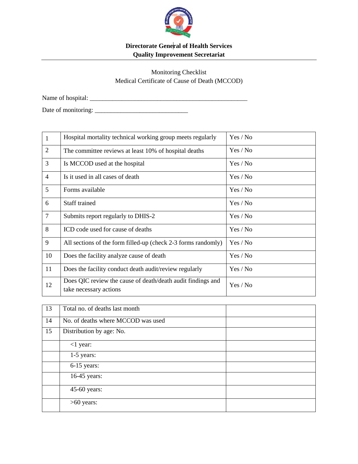

## **Directorate General of Health Services Quality Improvement Secretariat**

Monitoring Checklist Medical Certificate of Cause of Death (MCCOD)

Name of hospital: \_\_\_\_\_\_\_\_\_\_\_\_\_\_\_\_\_\_\_\_\_\_\_\_\_\_\_\_\_\_\_\_\_\_\_\_\_\_\_\_\_\_\_\_\_\_\_\_\_

Date of monitoring: \_\_\_\_\_\_\_\_\_\_\_\_\_\_\_\_\_\_\_\_\_\_\_\_\_\_\_\_\_

| $\mathbf{1}$   | Hospital mortality technical working group meets regularly                            | Yes / No |
|----------------|---------------------------------------------------------------------------------------|----------|
| 2              | The committee reviews at least 10% of hospital deaths                                 | Yes / No |
| 3              | Is MCCOD used at the hospital                                                         | Yes / No |
| $\overline{4}$ | Is it used in all cases of death                                                      | Yes / No |
| 5              | Forms available                                                                       | Yes / No |
| 6              | Staff trained                                                                         | Yes / No |
| $\overline{7}$ | Submits report regularly to DHIS-2                                                    | Yes / No |
| 8              | ICD code used for cause of deaths                                                     | Yes / No |
| 9              | All sections of the form filled-up (check 2-3 forms randomly)                         | Yes / No |
| 10             | Does the facility analyze cause of death                                              | Yes / No |
| 11             | Does the facility conduct death audit/review regularly                                | Yes / No |
| 12             | Does QIC review the cause of death/death audit findings and<br>take necessary actions | Yes / No |

| 13 | Total no. of deaths last month     |  |
|----|------------------------------------|--|
| 14 | No. of deaths where MCCOD was used |  |
| 15 | Distribution by age: No.           |  |
|    | $<$ 1 year:                        |  |
|    | $1-5$ years:                       |  |
|    | $6-15$ years:                      |  |
|    | 16-45 years:                       |  |
|    | 45-60 years:                       |  |
|    | $>60$ years:                       |  |